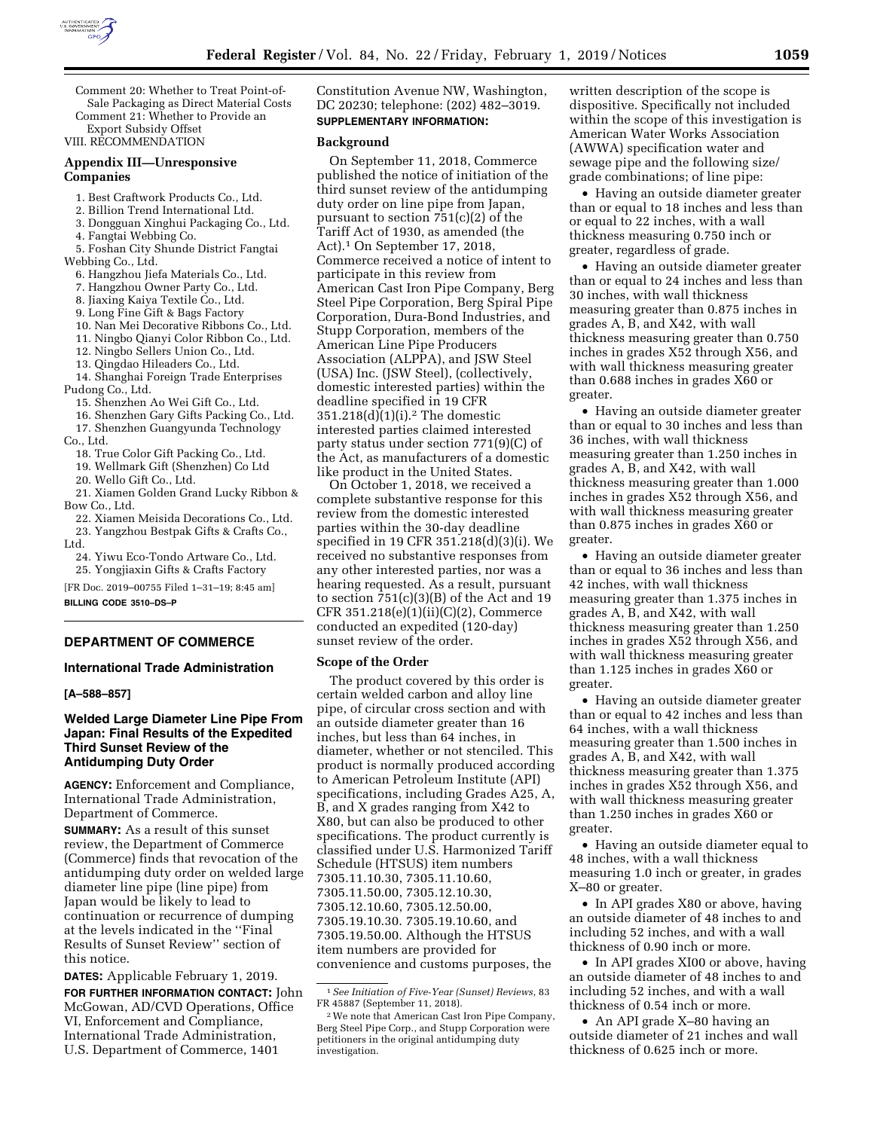

Comment 20: Whether to Treat Point-of-Sale Packaging as Direct Material Costs Comment 21: Whether to Provide an

Export Subsidy Offset

VIII. RECOMMENDATION

# **Appendix III—Unresponsive Companies**

- 1. Best Craftwork Products Co., Ltd.
- 2. Billion Trend International Ltd.
- 3. Dongguan Xinghui Packaging Co., Ltd.

4. Fangtai Webbing Co. 5. Foshan City Shunde District Fangtai

Webbing Co., Ltd.

- 6. Hangzhou Jiefa Materials Co., Ltd.
- 7. Hangzhou Owner Party Co., Ltd.
- 8. Jiaxing Kaiya Textile Co., Ltd.
- 9. Long Fine Gift & Bags Factory
- 10. Nan Mei Decorative Ribbons Co., Ltd.
- 11. Ningbo Qianyi Color Ribbon Co., Ltd.
- 12. Ningbo Sellers Union Co., Ltd.
- 13. Qingdao Hileaders Co., Ltd.
- 14. Shanghai Foreign Trade Enterprises
- Pudong Co., Ltd. 15. Shenzhen Ao Wei Gift Co., Ltd.
	-
- 16. Shenzhen Gary Gifts Packing Co., Ltd. 17. Shenzhen Guangyunda Technology
- Co., Ltd.
	- 18. True Color Gift Packing Co., Ltd.
	- 19. Wellmark Gift (Shenzhen) Co Ltd

20. Wello Gift Co., Ltd.

- 21. Xiamen Golden Grand Lucky Ribbon & Bow Co., Ltd.
	- 22. Xiamen Meisida Decorations Co., Ltd.
- 23. Yangzhou Bestpak Gifts & Crafts Co., Ltd.
- 24. Yiwu Eco-Tondo Artware Co., Ltd. 25. Yongjiaxin Gifts & Crafts Factory

[FR Doc. 2019–00755 Filed 1–31–19; 8:45 am]

**BILLING CODE 3510–DS–P** 

# **DEPARTMENT OF COMMERCE**

## **International Trade Administration**

## **[A–588–857]**

# **Welded Large Diameter Line Pipe From Japan: Final Results of the Expedited Third Sunset Review of the Antidumping Duty Order**

**AGENCY:** Enforcement and Compliance, International Trade Administration, Department of Commerce.

**SUMMARY:** As a result of this sunset review, the Department of Commerce (Commerce) finds that revocation of the antidumping duty order on welded large diameter line pipe (line pipe) from Japan would be likely to lead to continuation or recurrence of dumping at the levels indicated in the ''Final Results of Sunset Review'' section of this notice.

**DATES:** Applicable February 1, 2019.

**FOR FURTHER INFORMATION CONTACT:** John McGowan, AD/CVD Operations, Office VI, Enforcement and Compliance, International Trade Administration, U.S. Department of Commerce, 1401

Constitution Avenue NW, Washington, DC 20230; telephone: (202) 482–3019. **SUPPLEMENTARY INFORMATION:** 

#### **Background**

On September 11, 2018, Commerce published the notice of initiation of the third sunset review of the antidumping duty order on line pipe from Japan, pursuant to section 751(c)(2) of the Tariff Act of 1930, as amended (the Act).1 On September 17, 2018, Commerce received a notice of intent to participate in this review from American Cast Iron Pipe Company, Berg Steel Pipe Corporation, Berg Spiral Pipe Corporation, Dura-Bond Industries, and Stupp Corporation, members of the American Line Pipe Producers Association (ALPPA), and JSW Steel (USA) Inc. (JSW Steel), (collectively, domestic interested parties) within the deadline specified in 19 CFR 351.218(d)(1)(i).2 The domestic interested parties claimed interested party status under section 771(9)(C) of the Act, as manufacturers of a domestic like product in the United States.

On October 1, 2018, we received a complete substantive response for this review from the domestic interested parties within the 30-day deadline specified in 19 CFR 351.218(d)(3)(i). We received no substantive responses from any other interested parties, nor was a hearing requested. As a result, pursuant to section  $751(c)(3)(B)$  of the Act and 19 CFR 351.218(e)(1)(ii)(C)(2), Commerce conducted an expedited (120-day) sunset review of the order.

#### **Scope of the Order**

The product covered by this order is certain welded carbon and alloy line pipe, of circular cross section and with an outside diameter greater than 16 inches, but less than 64 inches, in diameter, whether or not stenciled. This product is normally produced according to American Petroleum Institute (API) specifications, including Grades A25, A, B, and X grades ranging from X42 to X80, but can also be produced to other specifications. The product currently is classified under U.S. Harmonized Tariff Schedule (HTSUS) item numbers 7305.11.10.30, 7305.11.10.60, 7305.11.50.00, 7305.12.10.30, 7305.12.10.60, 7305.12.50.00, 7305.19.10.30. 7305.19.10.60, and 7305.19.50.00. Although the HTSUS item numbers are provided for convenience and customs purposes, the

written description of the scope is dispositive. Specifically not included within the scope of this investigation is American Water Works Association (AWWA) specification water and sewage pipe and the following size/ grade combinations; of line pipe:

• Having an outside diameter greater than or equal to 18 inches and less than or equal to 22 inches, with a wall thickness measuring 0.750 inch or greater, regardless of grade.

• Having an outside diameter greater than or equal to 24 inches and less than 30 inches, with wall thickness measuring greater than 0.875 inches in grades A, B, and X42, with wall thickness measuring greater than 0.750 inches in grades X52 through X56, and with wall thickness measuring greater than 0.688 inches in grades X60 or greater.

• Having an outside diameter greater than or equal to 30 inches and less than 36 inches, with wall thickness measuring greater than 1.250 inches in grades A, B, and X42, with wall thickness measuring greater than 1.000 inches in grades X52 through X56, and with wall thickness measuring greater than 0.875 inches in grades X60 or greater.

• Having an outside diameter greater than or equal to 36 inches and less than 42 inches, with wall thickness measuring greater than 1.375 inches in grades A, B, and X42, with wall thickness measuring greater than 1.250 inches in grades X52 through X56, and with wall thickness measuring greater than 1.125 inches in grades X60 or greater.

• Having an outside diameter greater than or equal to 42 inches and less than 64 inches, with a wall thickness measuring greater than 1.500 inches in grades A, B, and X42, with wall thickness measuring greater than 1.375 inches in grades X52 through X56, and with wall thickness measuring greater than 1.250 inches in grades X60 or greater.

• Having an outside diameter equal to 48 inches, with a wall thickness measuring 1.0 inch or greater, in grades X–80 or greater.

• In API grades X80 or above, having an outside diameter of 48 inches to and including 52 inches, and with a wall thickness of 0.90 inch or more.

• In API grades XI00 or above, having an outside diameter of 48 inches to and including 52 inches, and with a wall thickness of 0.54 inch or more.

• An API grade X–80 having an outside diameter of 21 inches and wall thickness of 0.625 inch or more.

<sup>1</sup>*See Initiation of Five-Year (Sunset) Reviews,* 83 FR 45887 (September 11, 2018).

<sup>2</sup>We note that American Cast Iron Pipe Company, Berg Steel Pipe Corp., and Stupp Corporation were petitioners in the original antidumping duty investigation.